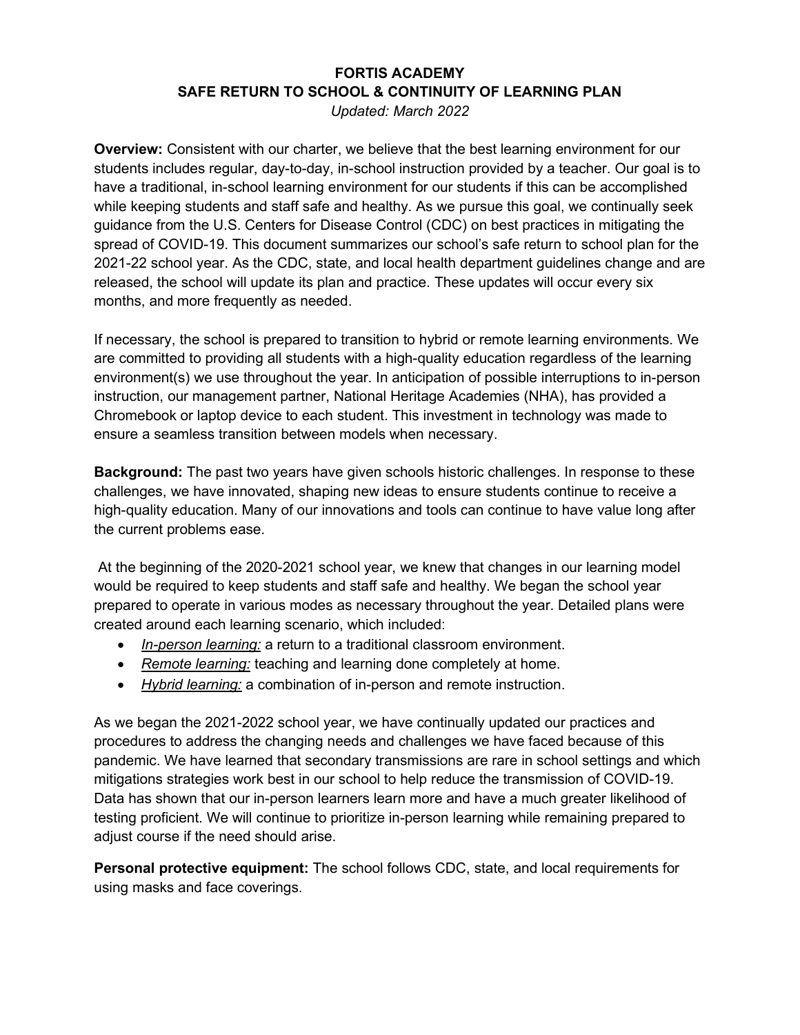## **FORTIS ACADEMY SAFE RETURN TO SCHOOL & CONTINUITY OF LEARNING PLAN**

*Updated: March 2022* 

**Overview:** Consistent with our charter, we believe that the best learning environment for our students includes regular, day-to-day, in-school instruction provided by a teacher. Our goal is to have a traditional, in-school learning environment for our students if this can be accomplished while keeping students and staff safe and healthy. As we pursue this goal, we continually seek guidance from the U.S. Centers for Disease Control (CDC) on best practices in mitigating the spread of COVID-19. This document summarizes our school's safe return to school plan for the 2021-22 school year. As the CDC, state, and local health department guidelines change and are released, the school will update its plan and practice. These updates will occur every six months, and more frequently as needed.

If necessary, the school is prepared to transition to hybrid or remote learning environments. We are committed to providing all students with a high-quality education regardless of the learning environment(s) we use throughout the year. In anticipation of possible interruptions to in-person instruction, our management partner, National Heritage Academies (NHA), has provided a Chromebook or laptop device to each student. This investment in technology was made to ensure a seamless transition between models when necessary.

**Background:** The past two years have given schools historic challenges. In response to these challenges, we have innovated, shaping new ideas to ensure students continue to receive a high-quality education. Many of our innovations and tools can continue to have value long after the current problems ease.

At the beginning of the 2020-2021 school year, we knew that changes in our learning model would be required to keep students and staff safe and healthy. We began the school year prepared to operate in various modes as necessary throughout the year. Detailed plans were created around each learning scenario, which included:

- *In-person learning:* a return to a traditional classroom environment.
- *Remote learning:* teaching and learning done completely at home.
- *Hybrid learning:* a combination of in-person and remote instruction.

As we began the 2021-2022 school year, we have continually updated our practices and procedures to address the changing needs and challenges we have faced because of this pandemic. We have learned that secondary transmissions are rare in school settings and which mitigations strategies work best in our school to help reduce the transmission of COVID-19. Data has shown that our in-person learners learn more and have a much greater likelihood of testing proficient. We will continue to prioritize in-person learning while remaining prepared to adjust course if the need should arise.

**Personal protective equipment:** The school follows CDC, state, and local requirements for using masks and face coverings.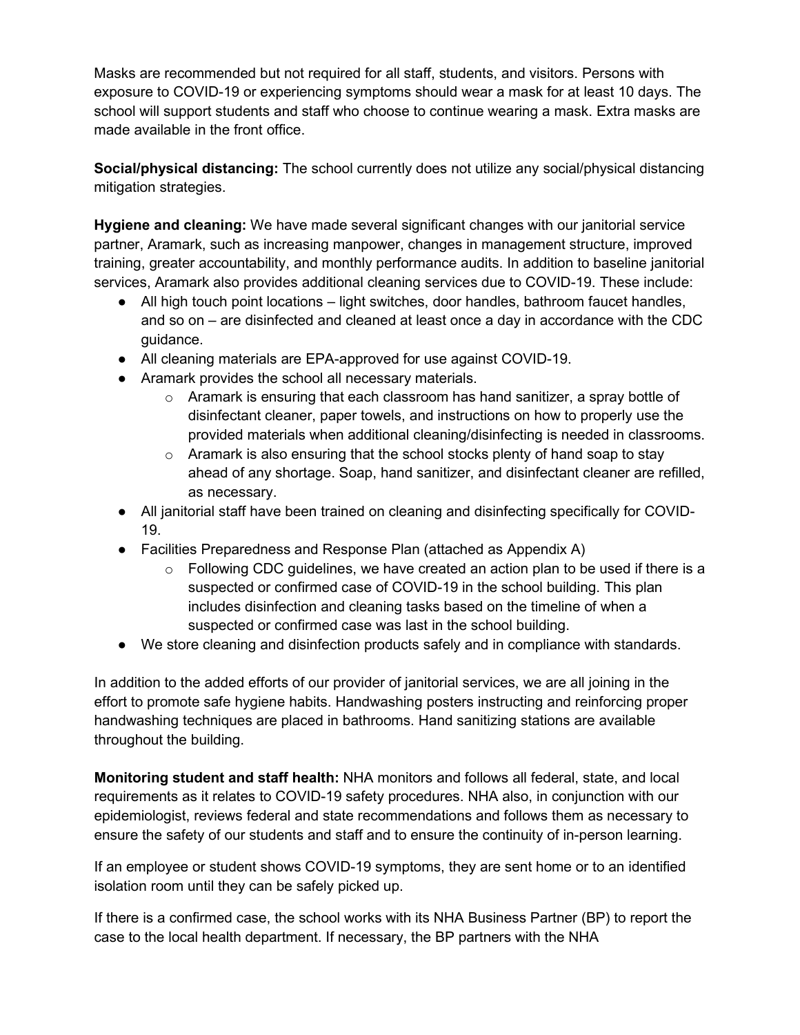Masks are recommended but not required for all staff, students, and visitors. Persons with exposure to COVID-19 or experiencing symptoms should wear a mask for at least 10 days. The school will support students and staff who choose to continue wearing a mask. Extra masks are made available in the front office.

**Social/physical distancing:** The school currently does not utilize any social/physical distancing mitigation strategies.

**Hygiene and cleaning:** We have made several significant changes with our janitorial service partner, Aramark, such as increasing manpower, changes in management structure, improved training, greater accountability, and monthly performance audits. In addition to baseline janitorial services, Aramark also provides additional cleaning services due to COVID-19. These include:

- All high touch point locations light switches, door handles, bathroom faucet handles, and so on – are disinfected and cleaned at least once a day in accordance with the CDC guidance.
- All cleaning materials are EPA-approved for use against COVID-19.
- Aramark provides the school all necessary materials.
	- $\circ$  Aramark is ensuring that each classroom has hand sanitizer, a spray bottle of disinfectant cleaner, paper towels, and instructions on how to properly use the provided materials when additional cleaning/disinfecting is needed in classrooms.
	- $\circ$  Aramark is also ensuring that the school stocks plenty of hand soap to stay ahead of any shortage. Soap, hand sanitizer, and disinfectant cleaner are refilled, as necessary.
- All janitorial staff have been trained on cleaning and disinfecting specifically for COVID-19.
- Facilities Preparedness and Response Plan (attached as Appendix A)
	- $\circ$  Following CDC guidelines, we have created an action plan to be used if there is a suspected or confirmed case of COVID-19 in the school building. This plan includes disinfection and cleaning tasks based on the timeline of when a suspected or confirmed case was last in the school building.
- We store cleaning and disinfection products safely and in compliance with standards.

In addition to the added efforts of our provider of janitorial services, we are all joining in the effort to promote safe hygiene habits. Handwashing posters instructing and reinforcing proper handwashing techniques are placed in bathrooms. Hand sanitizing stations are available throughout the building.

**Monitoring student and staff health:** NHA monitors and follows all federal, state, and local requirements as it relates to COVID-19 safety procedures. NHA also, in conjunction with our epidemiologist, reviews federal and state recommendations and follows them as necessary to ensure the safety of our students and staff and to ensure the continuity of in-person learning.

If an employee or student shows COVID-19 symptoms, they are sent home or to an identified isolation room until they can be safely picked up.

If there is a confirmed case, the school works with its NHA Business Partner (BP) to report the case to the local health department. If necessary, the BP partners with the NHA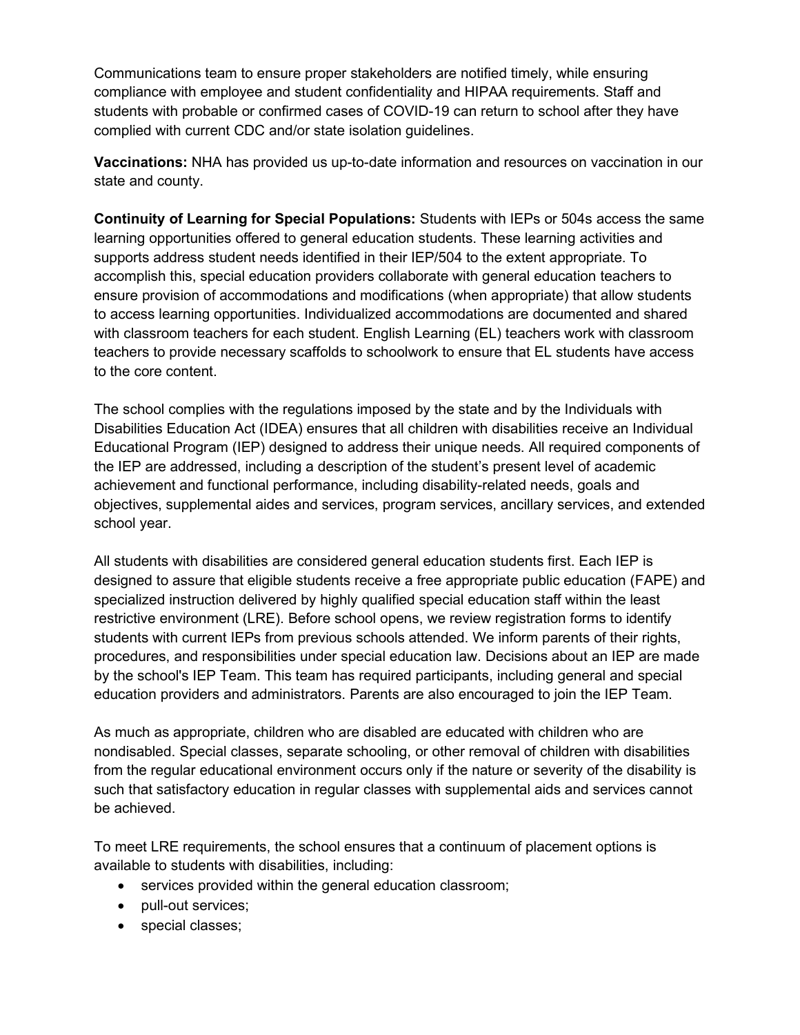Communications team to ensure proper stakeholders are notified timely, while ensuring compliance with employee and student confidentiality and HIPAA requirements. Staff and students with probable or confirmed cases of COVID-19 can return to school after they have complied with current CDC and/or state isolation guidelines.

**Vaccinations:** NHA has provided us up-to-date information and resources on vaccination in our state and county.

**Continuity of Learning for Special Populations:** Students with IEPs or 504s access the same learning opportunities offered to general education students. These learning activities and supports address student needs identified in their IEP/504 to the extent appropriate. To accomplish this, special education providers collaborate with general education teachers to ensure provision of accommodations and modifications (when appropriate) that allow students to access learning opportunities. Individualized accommodations are documented and shared with classroom teachers for each student. English Learning (EL) teachers work with classroom teachers to provide necessary scaffolds to schoolwork to ensure that EL students have access to the core content.

The school complies with the regulations imposed by the state and by the Individuals with Disabilities Education Act (IDEA) ensures that all children with disabilities receive an Individual Educational Program (IEP) designed to address their unique needs. All required components of the IEP are addressed, including a description of the student's present level of academic achievement and functional performance, including disability-related needs, goals and objectives, supplemental aides and services, program services, ancillary services, and extended school year.

All students with disabilities are considered general education students first. Each IEP is designed to assure that eligible students receive a free appropriate public education (FAPE) and specialized instruction delivered by highly qualified special education staff within the least restrictive environment (LRE). Before school opens, we review registration forms to identify students with current IEPs from previous schools attended. We inform parents of their rights, procedures, and responsibilities under special education law. Decisions about an IEP are made by the school's IEP Team. This team has required participants, including general and special education providers and administrators. Parents are also encouraged to join the IEP Team.

As much as appropriate, children who are disabled are educated with children who are nondisabled. Special classes, separate schooling, or other removal of children with disabilities from the regular educational environment occurs only if the nature or severity of the disability is such that satisfactory education in regular classes with supplemental aids and services cannot be achieved.

To meet LRE requirements, the school ensures that a continuum of placement options is available to students with disabilities, including:

- services provided within the general education classroom;
- pull-out services;
- special classes;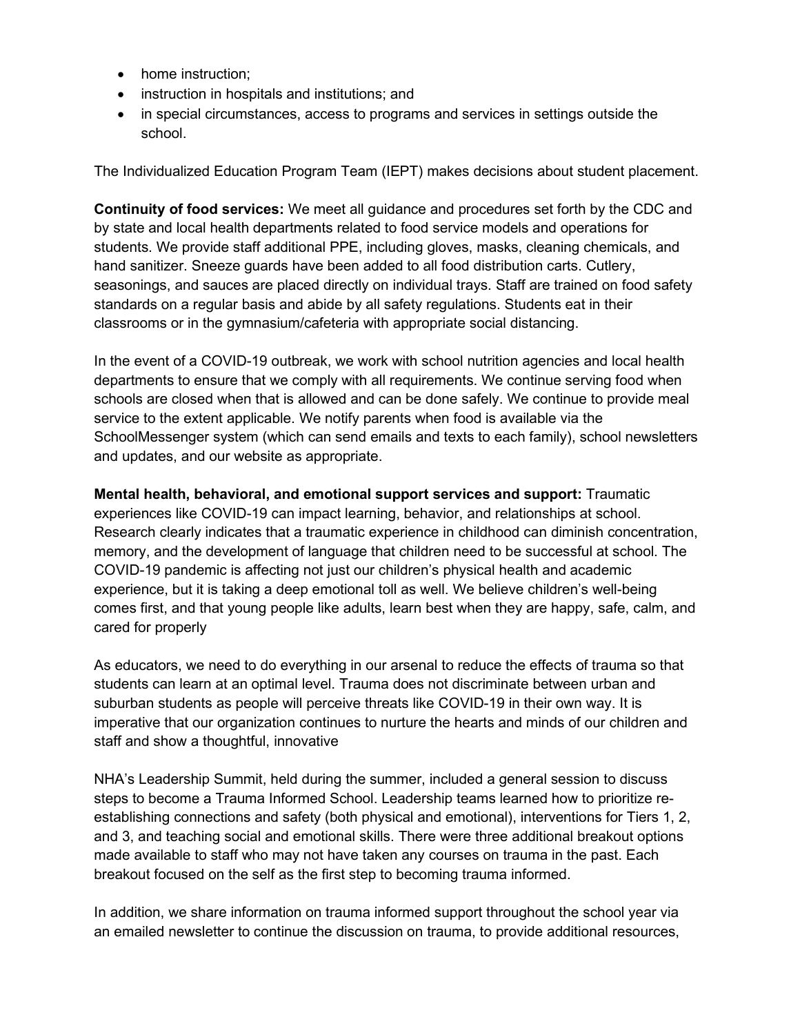- home instruction:
- instruction in hospitals and institutions; and
- in special circumstances, access to programs and services in settings outside the school.

The Individualized Education Program Team (IEPT) makes decisions about student placement.

**Continuity of food services:** We meet all guidance and procedures set forth by the CDC and by state and local health departments related to food service models and operations for students. We provide staff additional PPE, including gloves, masks, cleaning chemicals, and hand sanitizer. Sneeze guards have been added to all food distribution carts. Cutlery, seasonings, and sauces are placed directly on individual trays. Staff are trained on food safety standards on a regular basis and abide by all safety regulations. Students eat in their classrooms or in the gymnasium/cafeteria with appropriate social distancing.

In the event of a COVID-19 outbreak, we work with school nutrition agencies and local health departments to ensure that we comply with all requirements. We continue serving food when schools are closed when that is allowed and can be done safely. We continue to provide meal service to the extent applicable. We notify parents when food is available via the SchoolMessenger system (which can send emails and texts to each family), school newsletters and updates, and our website as appropriate.

**Mental health, behavioral, and emotional support services and support:** Traumatic experiences like COVID-19 can impact learning, behavior, and relationships at school. Research clearly indicates that a traumatic experience in childhood can diminish concentration, memory, and the development of language that children need to be successful at school. The COVID-19 pandemic is affecting not just our children's physical health and academic experience, but it is taking a deep emotional toll as well. We believe children's well-being comes first, and that young people like adults, learn best when they are happy, safe, calm, and cared for properly

As educators, we need to do everything in our arsenal to reduce the effects of trauma so that students can learn at an optimal level. Trauma does not discriminate between urban and suburban students as people will perceive threats like COVID-19 in their own way. It is imperative that our organization continues to nurture the hearts and minds of our children and staff and show a thoughtful, innovative

NHA's Leadership Summit, held during the summer, included a general session to discuss steps to become a Trauma Informed School. Leadership teams learned how to prioritize reestablishing connections and safety (both physical and emotional), interventions for Tiers 1, 2, and 3, and teaching social and emotional skills. There were three additional breakout options made available to staff who may not have taken any courses on trauma in the past. Each breakout focused on the self as the first step to becoming trauma informed.

In addition, we share information on trauma informed support throughout the school year via an emailed newsletter to continue the discussion on trauma, to provide additional resources,